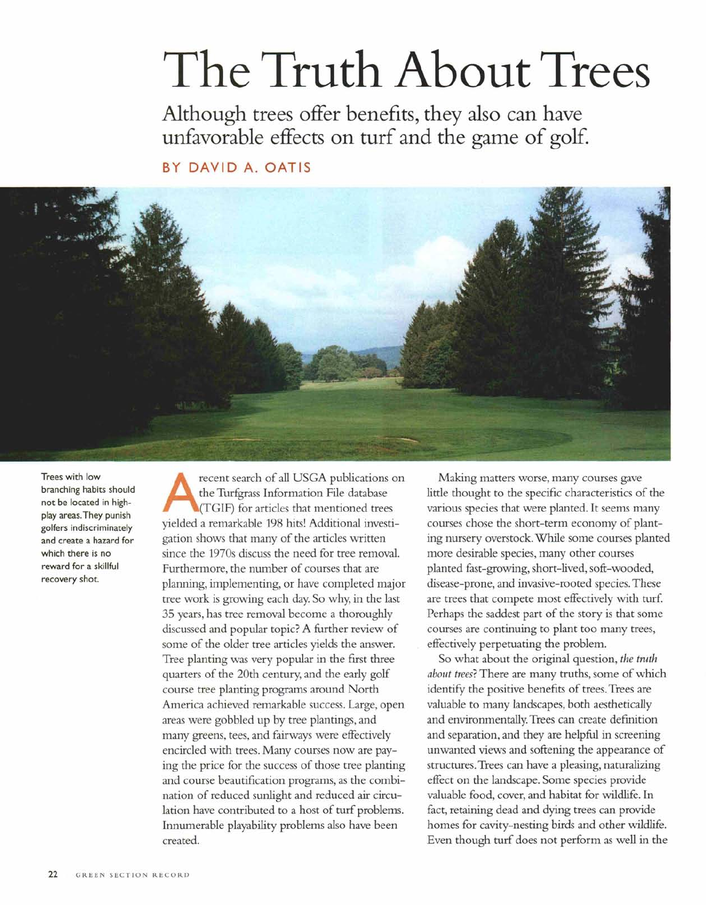# The Truth About Trees

Although trees offer benefits, they also can have unfavorable effects on turf and the game of golf.

BY DAVID A. OATIS



Trees with low branching habits should not be located in highplay areas. They punish golfers indiscriminately and create a hazard for which there is no reward for a skillful recovery shot.

A recent search of all USGA publications on the Turfgrass Information File database (TGIF) for articles that mentioned trees yielded a remarkable 198 hits! Additional investigation shows that many of the articles written since the 1970s discuss the need for tree removal. Furthermore, the number of courses that are planning, implementing, or have completed major tree work is growing each day. So why, in the last 35 years, has tree removal become a thoroughly discussed and popular topic? A further review of some of the older tree articles yields the answer. Tree planting was very popular in the first three quarters of the 20th century, and the early golf course tree planting programs around North America achieved remarkable success. Large, open areas were gobbled up by tree plantings, and many greens, tees, and fairways were effectively encircled with trees. Many courses now are paying the price for the success of those tree planting and course beautification programs, as the combination of reduced sunlight and reduced air circulation have contributed to a host of turf problems. Innumerable playability problems also have been created.

Making matters worse, many courses gave little thought to the specific characteristics of the various species that were planted. It seems many courses chose the short-term economy of planting nursery overstock. While some courses planted more desirable species, many other courses planted fast-growing, short-lived, soft-wooded, disease-prone, and invasive-rooted species. These are trees that compete most effectively with turf. Perhaps the saddest part of the story is that some courses are continuing to plant too many trees, effectively perpetuating the problem.

So what about the original question, *the truth about trees?*There are many truths, some of which identify the positive benefits of trees. Trees are valuable to many landscapes, both aesthetically and environmentally. Trees can create definition and separation, and they are helpful in screening unwanted views and softening the appearance of structures. Trees can have a pleasing, naturalizing effect on the landscape. Some species provide valuable food, cover, and habitat for wildlife. In fact, retaining dead and dying trees can provide homes for cavity-nesting birds and other wildlife. Even though turf does not perform as well in the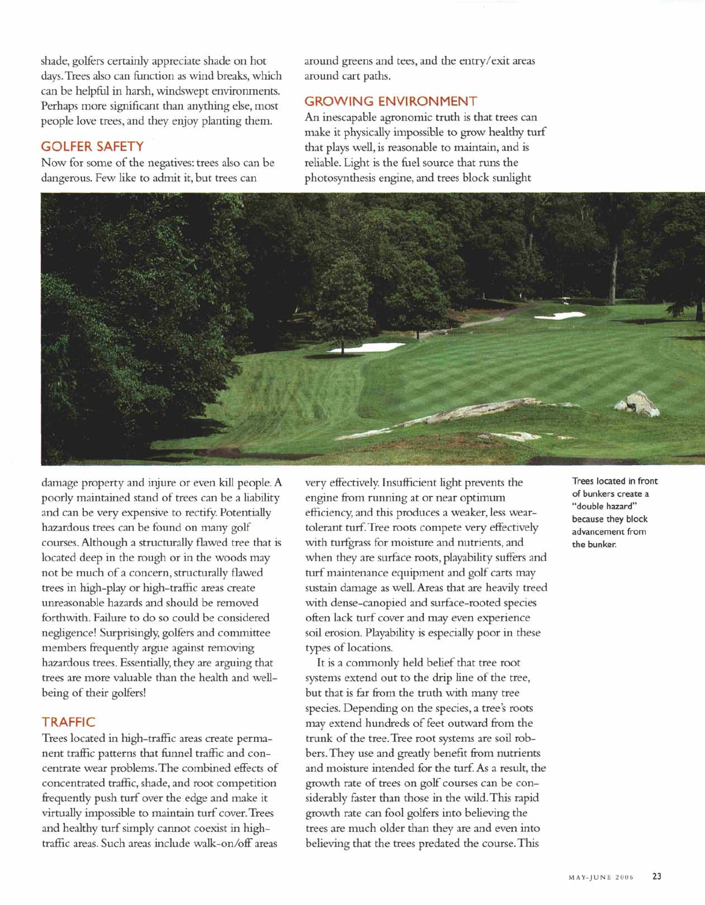shade, golfers certainly appreciate shade on hot days.Trees also can function as wind breaks, which can be helpful in harsh, windswept environments. Perhaps more significant than anything else, most people love trees, and they enjoy planting them.

## **GOLFER SAFETY**

Now for some of the negatives: trees also can be dangerous. Few like to admit it, but trees can

around greens and tees, and the entry/exit areas around cart paths.

### **GROWING ENVIRONMENT**

An inescapable agronomic truth is that trees can make it physically impossible to grow healthy turf that plays well, is reasonable to maintain, and is reliable. Light is the fuel source that runs the photosynthesis engine, and trees block sunlight



damage property and injure or even kill people. A poorly maintained stand of trees can be a liability and can be very expensive to rectify. Potentially hazardous trees can be found on many golf courses. Although a structurally flawed tree that is located deep in the rough or in the woods may not be much of a concern, structurally flawed trees in high-play or high-traffic areas create unreasonable hazards and should be removed forthwith. Failure to do so could be considered negligence! Surprisingly; golfers and committee members frequently argue against removing hazardous trees. Essentially, they are arguing that trees are more valuable than the health and wellbeing of their golfers!

#### **TRAFFIC**

Trees located in high-traffic areas create permanent traffic patterns that funnel traffic and concentrate wear problems. The combined effects of concentrated traffic, shade, and root competition frequently push turf over the edge and make it virtually impossible to maintain turf cover. Trees and healthy turf simply cannot coexist in hightraffic areas. Such areas include walk-on/off areas

very effectively. Insufficient light prevents the engine from running at or near optimum efficiency, and this produces a weaker, less weartolerant turf. Tree roots compete very effectively with turfgrass for moisture and nutrients, and when they are surface roots, playability suffers and turf maintenance equipment and golf carts may sustain damage as well. Areas that are heavily treed with dense-canopied and surface-rooted species often lack turf cover and may even experience soil erosion. Playability is especially poor in these types of locations.

It is a commonly held belief that tree root systems extend out to the drip line of the tree, but that is far from the truth with many tree species. Depending on the species, a tree's roots may extend hundreds of feet outward from the trunk of the tree. Tree root systems are soil robbers. They use and greatly benefit from nutrients and moisture intended for the turf. As a result, the growth rate of trees on golf courses can be considerably faster than those in the wild. This rapid growth rate can fool golfers into believing the trees are much older than they are and even into believing that the trees predated the course. This

Trees located in front of bunkers create a "double hazard" because they block advancement from the bunker.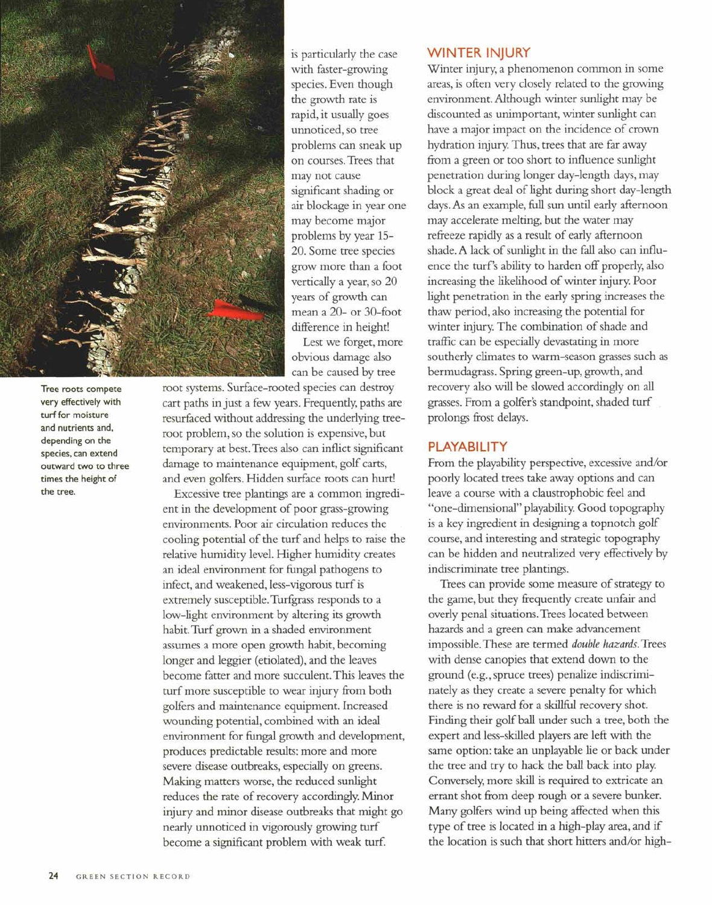

Tree roots compete very effectively with turf for moisture and nutrients and, depending on the species, can extend outward two to three times the height of the tree.

is particularly the case with faster-growing species. Even though the growth rate is rapid, it usually goes unnoticed, so tree problems can sneak up on courses. Trees that may not cause significant shading or air blockage in year one may become major problems by year 15- 20. Some tree species grow more than a foot vertically a year, so 20 years of growth can mean a 20- or 30-foot difference in height!

Lest we forget, more obvious damage also can be caused by tree

root systems. Surface-rooted species can destroy cart paths in just a few years. Frequently, paths are resurfaced without addressing the underlying treeroot problem, so the solution is expensive, but temporary at best. Trees also can inflict significant damage to maintenance equipment, golf carts, and even golfers. Hidden surface roots can hurt!

Excessive tree plantings are a common ingredient in the development of poor grass-growing environments. Poor air circulation reduces the cooling potential of the turf and helps to raise the relative humidity level. Higher humidity creates an ideal environment for fungal pathogens to infect, and weakened, less-vigorous turf is extremely susceptible. Turfgrass responds to a low-light environment by altering its growth habit. Turf grown in a shaded environment assumes a more open growth habit, becoming longer and leggier (etiolated), and the leaves become fatter and more succulent. This leaves the turf more susceptible to wear injury from both golfers and maintenance equipment. Increased wounding potential, combined with an ideal environment for fungal growth and development, produces predictable results: more and more severe disease outbreaks, especially on greens. Making matters worse, the reduced sunlight reduces the rate of recovery accordingly. Minor injury and minor disease outbreaks that might go nearly unnoticed in vigorously growing turf become a significant problem with weak turf

#### **WINTER INJURY**

Winter injury, a phenomenon common in some areas, is often very closely related to the growing environment. Although winter sunlight may be discounted as unimportant, winter sunlight can have a major impact on the incidence of crown hydration injury. Thus, trees that are far away from a green or too short to influence sunlight penetration during longer day-length days, may block a great deal of light during short day-length days. As an example, full sun until early afternoon may accelerate melting, but the water may refreeze rapidly as a result of early afternoon shade. A lack of sunlight in the fall also can influence the turf's ability to harden off properly, also increasing the likelihood of winter injury. Poor light penetration in the early spring increases the thaw period, also increasing the potential for winter injury. The combination of shade and traffic can be especially devastating in more southerly climates to warm-season grasses such as bermudagrass. Spring green-up, growth, and recovery also will be slowed accordingly on all grasses. From a golfer's standpoint, shaded turf prolongs frost delays.

#### **PLAYABILITY**

From the playability perspective, excessive and/or poorly located trees take away options and can leave a course with a claustrophobic feel and "one-dimensional" playability. Good topography is a key ingredient in designing a topnotch golf course, and interesting and strategic topography can be hidden and neutralized very effectively by indiscriminate tree plantings.

Trees can provide some measure of strategy to the game, but they frequently create unfair and overly penal situations. Trees located between hazards and a green can make advancement impossible. These are termed *double hazards.* Trees with dense canopies that extend down to the ground (e.g., spruce trees) penalize indiscriminately as they create a severe penalty for which there is no reward for a skillful recovery shot. Finding their golf ball under such a tree, both the expert and less-skilled players are left with the same option: take an unplayable lie or back under the tree and try to hack the ball back into play. Conversely, more skill is required to extricate an errant shot from deep rough or a severe bunker. Many golfers wind up being affected when this type of tree is located in a high-play area, and if the location is such that short hitters and/or high